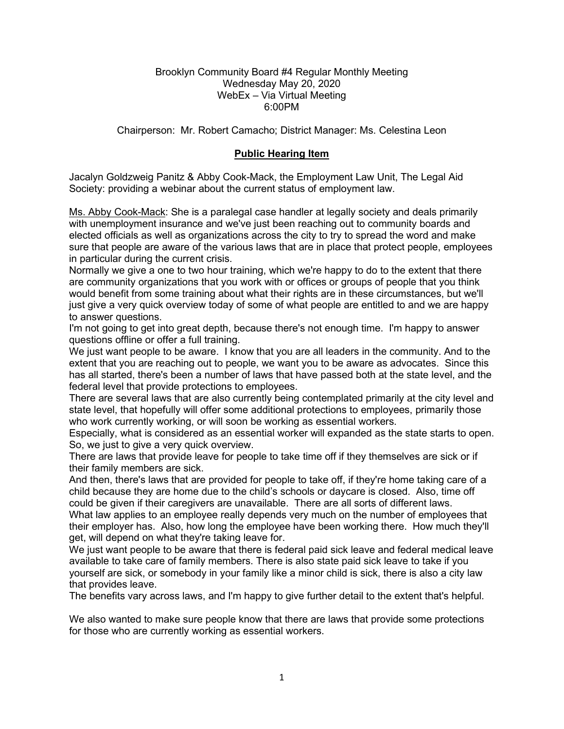#### Brooklyn Community Board #4 Regular Monthly Meeting Wednesday May 20, 2020 WebEx – Via Virtual Meeting 6:00PM

Chairperson: Mr. Robert Camacho; District Manager: Ms. Celestina Leon

# **Public Hearing Item**

Jacalyn Goldzweig Panitz & Abby Cook-Mack, the Employment Law Unit, The Legal Aid Society: providing a webinar about the current status of employment law.

Ms. Abby Cook-Mack: She is a paralegal case handler at legally society and deals primarily with unemployment insurance and we've just been reaching out to community boards and elected officials as well as organizations across the city to try to spread the word and make sure that people are aware of the various laws that are in place that protect people, employees in particular during the current crisis.

Normally we give a one to two hour training, which we're happy to do to the extent that there are community organizations that you work with or offices or groups of people that you think would benefit from some training about what their rights are in these circumstances, but we'll just give a very quick overview today of some of what people are entitled to and we are happy to answer questions.

I'm not going to get into great depth, because there's not enough time. I'm happy to answer questions offline or offer a full training.

We just want people to be aware. I know that you are all leaders in the community. And to the extent that you are reaching out to people, we want you to be aware as advocates. Since this has all started, there's been a number of laws that have passed both at the state level, and the federal level that provide protections to employees.

There are several laws that are also currently being contemplated primarily at the city level and state level, that hopefully will offer some additional protections to employees, primarily those who work currently working, or will soon be working as essential workers.

Especially, what is considered as an essential worker will expanded as the state starts to open. So, we just to give a very quick overview.

There are laws that provide leave for people to take time off if they themselves are sick or if their family members are sick.

And then, there's laws that are provided for people to take off, if they're home taking care of a child because they are home due to the child's schools or daycare is closed. Also, time off could be given if their caregivers are unavailable. There are all sorts of different laws.

What law applies to an employee really depends very much on the number of employees that their employer has. Also, how long the employee have been working there. How much they'll get, will depend on what they're taking leave for.

We just want people to be aware that there is federal paid sick leave and federal medical leave available to take care of family members. There is also state paid sick leave to take if you yourself are sick, or somebody in your family like a minor child is sick, there is also a city law that provides leave.

The benefits vary across laws, and I'm happy to give further detail to the extent that's helpful.

We also wanted to make sure people know that there are laws that provide some protections for those who are currently working as essential workers.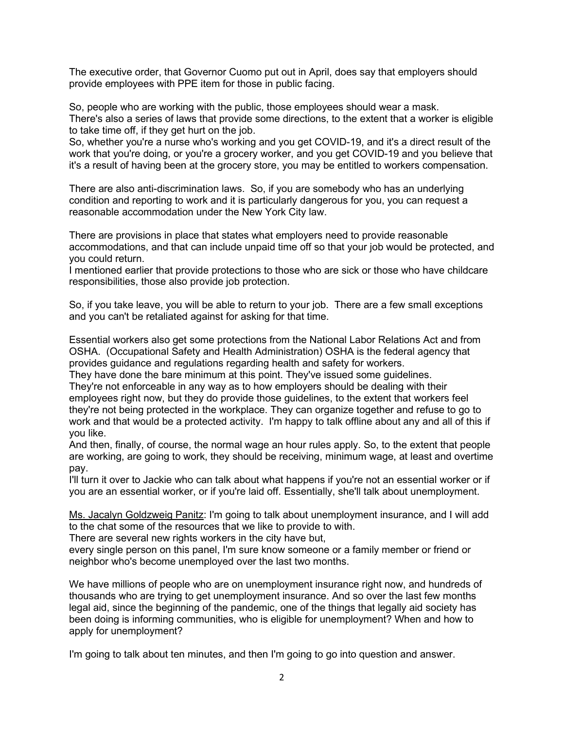The executive order, that Governor Cuomo put out in April, does say that employers should provide employees with PPE item for those in public facing.

So, people who are working with the public, those employees should wear a mask. There's also a series of laws that provide some directions, to the extent that a worker is eligible to take time off, if they get hurt on the job.

So, whether you're a nurse who's working and you get COVID-19, and it's a direct result of the work that you're doing, or you're a grocery worker, and you get COVID-19 and you believe that it's a result of having been at the grocery store, you may be entitled to workers compensation.

There are also anti-discrimination laws. So, if you are somebody who has an underlying condition and reporting to work and it is particularly dangerous for you, you can request a reasonable accommodation under the New York City law.

There are provisions in place that states what employers need to provide reasonable accommodations, and that can include unpaid time off so that your job would be protected, and you could return.

I mentioned earlier that provide protections to those who are sick or those who have childcare responsibilities, those also provide job protection.

So, if you take leave, you will be able to return to your job. There are a few small exceptions and you can't be retaliated against for asking for that time.

Essential workers also get some protections from the National Labor Relations Act and from OSHA. (Occupational Safety and Health Administration) OSHA is the federal agency that provides guidance and regulations regarding health and safety for workers.

They have done the bare minimum at this point. They've issued some guidelines.

They're not enforceable in any way as to how employers should be dealing with their employees right now, but they do provide those guidelines, to the extent that workers feel they're not being protected in the workplace. They can organize together and refuse to go to work and that would be a protected activity. I'm happy to talk offline about any and all of this if you like.

And then, finally, of course, the normal wage an hour rules apply. So, to the extent that people are working, are going to work, they should be receiving, minimum wage, at least and overtime pay.

I'll turn it over to Jackie who can talk about what happens if you're not an essential worker or if you are an essential worker, or if you're laid off. Essentially, she'll talk about unemployment.

Ms. Jacalyn Goldzweig Panitz: I'm going to talk about unemployment insurance, and I will add to the chat some of the resources that we like to provide to with.

There are several new rights workers in the city have but,

every single person on this panel, I'm sure know someone or a family member or friend or neighbor who's become unemployed over the last two months.

We have millions of people who are on unemployment insurance right now, and hundreds of thousands who are trying to get unemployment insurance. And so over the last few months legal aid, since the beginning of the pandemic, one of the things that legally aid society has been doing is informing communities, who is eligible for unemployment? When and how to apply for unemployment?

I'm going to talk about ten minutes, and then I'm going to go into question and answer.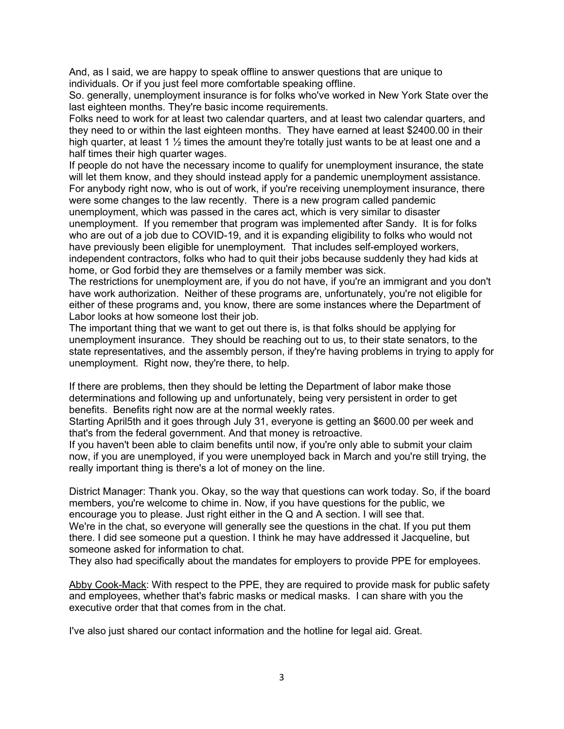And, as I said, we are happy to speak offline to answer questions that are unique to individuals. Or if you just feel more comfortable speaking offline.

So. generally, unemployment insurance is for folks who've worked in New York State over the last eighteen months. They're basic income requirements.

Folks need to work for at least two calendar quarters, and at least two calendar quarters, and they need to or within the last eighteen months. They have earned at least \$2400.00 in their high quarter, at least 1  $\frac{1}{2}$  times the amount they're totally just wants to be at least one and a half times their high quarter wages.

If people do not have the necessary income to qualify for unemployment insurance, the state will let them know, and they should instead apply for a pandemic unemployment assistance. For anybody right now, who is out of work, if you're receiving unemployment insurance, there were some changes to the law recently. There is a new program called pandemic unemployment, which was passed in the cares act, which is very similar to disaster unemployment. If you remember that program was implemented after Sandy. It is for folks who are out of a job due to COVID-19, and it is expanding eligibility to folks who would not have previously been eligible for unemployment. That includes self-employed workers, independent contractors, folks who had to quit their jobs because suddenly they had kids at home, or God forbid they are themselves or a family member was sick.

The restrictions for unemployment are, if you do not have, if you're an immigrant and you don't have work authorization. Neither of these programs are, unfortunately, you're not eligible for either of these programs and, you know, there are some instances where the Department of Labor looks at how someone lost their job.

The important thing that we want to get out there is, is that folks should be applying for unemployment insurance. They should be reaching out to us, to their state senators, to the state representatives, and the assembly person, if they're having problems in trying to apply for unemployment. Right now, they're there, to help.

If there are problems, then they should be letting the Department of labor make those determinations and following up and unfortunately, being very persistent in order to get benefits. Benefits right now are at the normal weekly rates.

Starting April5th and it goes through July 31, everyone is getting an \$600.00 per week and that's from the federal government. And that money is retroactive.

If you haven't been able to claim benefits until now, if you're only able to submit your claim now, if you are unemployed, if you were unemployed back in March and you're still trying, the really important thing is there's a lot of money on the line.

District Manager: Thank you. Okay, so the way that questions can work today. So, if the board members, you're welcome to chime in. Now, if you have questions for the public, we encourage you to please. Just right either in the Q and A section. I will see that. We're in the chat, so everyone will generally see the questions in the chat. If you put them there. I did see someone put a question. I think he may have addressed it Jacqueline, but someone asked for information to chat.

They also had specifically about the mandates for employers to provide PPE for employees.

Abby Cook-Mack: With respect to the PPE, they are required to provide mask for public safety and employees, whether that's fabric masks or medical masks. I can share with you the executive order that that comes from in the chat.

I've also just shared our contact information and the hotline for legal aid. Great.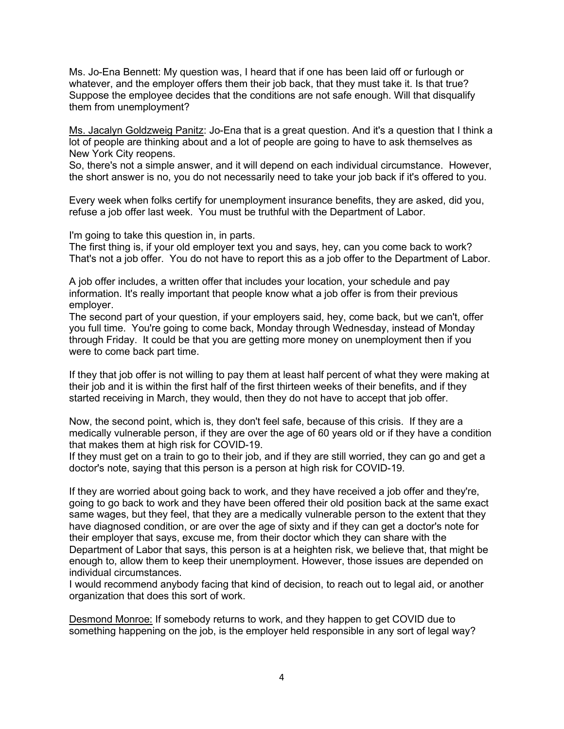Ms. Jo-Ena Bennett: My question was, I heard that if one has been laid off or furlough or whatever, and the employer offers them their job back, that they must take it. Is that true? Suppose the employee decides that the conditions are not safe enough. Will that disqualify them from unemployment?

Ms. Jacalyn Goldzweig Panitz: Jo-Ena that is a great question. And it's a question that I think a lot of people are thinking about and a lot of people are going to have to ask themselves as New York City reopens.

So, there's not a simple answer, and it will depend on each individual circumstance. However, the short answer is no, you do not necessarily need to take your job back if it's offered to you.

Every week when folks certify for unemployment insurance benefits, they are asked, did you, refuse a job offer last week. You must be truthful with the Department of Labor.

I'm going to take this question in, in parts.

The first thing is, if your old employer text you and says, hey, can you come back to work? That's not a job offer. You do not have to report this as a job offer to the Department of Labor.

A job offer includes, a written offer that includes your location, your schedule and pay information. It's really important that people know what a job offer is from their previous employer.

The second part of your question, if your employers said, hey, come back, but we can't, offer you full time. You're going to come back, Monday through Wednesday, instead of Monday through Friday. It could be that you are getting more money on unemployment then if you were to come back part time.

If they that job offer is not willing to pay them at least half percent of what they were making at their job and it is within the first half of the first thirteen weeks of their benefits, and if they started receiving in March, they would, then they do not have to accept that job offer.

Now, the second point, which is, they don't feel safe, because of this crisis. If they are a medically vulnerable person, if they are over the age of 60 years old or if they have a condition that makes them at high risk for COVID-19.

If they must get on a train to go to their job, and if they are still worried, they can go and get a doctor's note, saying that this person is a person at high risk for COVID-19.

If they are worried about going back to work, and they have received a job offer and they're, going to go back to work and they have been offered their old position back at the same exact same wages, but they feel, that they are a medically vulnerable person to the extent that they have diagnosed condition, or are over the age of sixty and if they can get a doctor's note for their employer that says, excuse me, from their doctor which they can share with the Department of Labor that says, this person is at a heighten risk, we believe that, that might be enough to, allow them to keep their unemployment. However, those issues are depended on individual circumstances.

I would recommend anybody facing that kind of decision, to reach out to legal aid, or another organization that does this sort of work.

Desmond Monroe: If somebody returns to work, and they happen to get COVID due to something happening on the job, is the employer held responsible in any sort of legal way?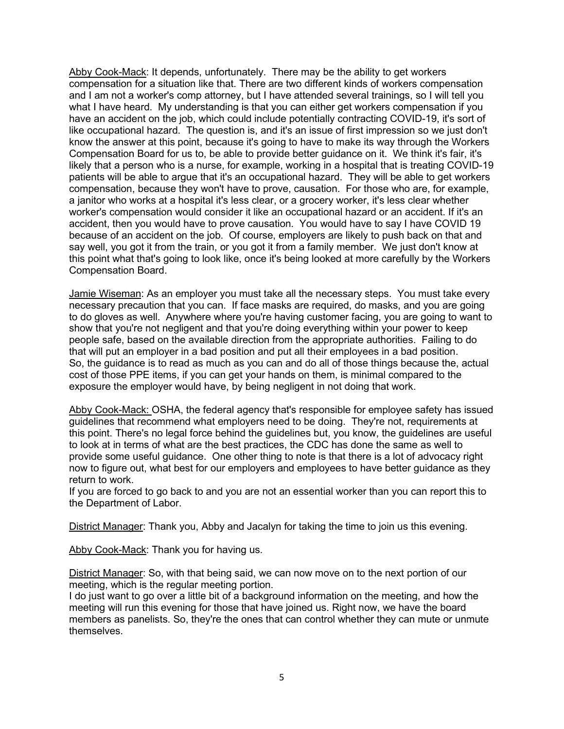Abby Cook-Mack: It depends, unfortunately. There may be the ability to get workers compensation for a situation like that. There are two different kinds of workers compensation and I am not a worker's comp attorney, but I have attended several trainings, so I will tell you what I have heard. My understanding is that you can either get workers compensation if you have an accident on the job, which could include potentially contracting COVID-19, it's sort of like occupational hazard. The question is, and it's an issue of first impression so we just don't know the answer at this point, because it's going to have to make its way through the Workers Compensation Board for us to, be able to provide better guidance on it. We think it's fair, it's likely that a person who is a nurse, for example, working in a hospital that is treating COVID-19 patients will be able to argue that it's an occupational hazard. They will be able to get workers compensation, because they won't have to prove, causation. For those who are, for example, a janitor who works at a hospital it's less clear, or a grocery worker, it's less clear whether worker's compensation would consider it like an occupational hazard or an accident. If it's an accident, then you would have to prove causation. You would have to say I have COVID 19 because of an accident on the job. Of course, employers are likely to push back on that and say well, you got it from the train, or you got it from a family member. We just don't know at this point what that's going to look like, once it's being looked at more carefully by the Workers Compensation Board.

Jamie Wiseman: As an employer you must take all the necessary steps. You must take every necessary precaution that you can. If face masks are required, do masks, and you are going to do gloves as well. Anywhere where you're having customer facing, you are going to want to show that you're not negligent and that you're doing everything within your power to keep people safe, based on the available direction from the appropriate authorities. Failing to do that will put an employer in a bad position and put all their employees in a bad position. So, the guidance is to read as much as you can and do all of those things because the, actual cost of those PPE items, if you can get your hands on them, is minimal compared to the exposure the employer would have, by being negligent in not doing that work.

Abby Cook-Mack: OSHA, the federal agency that's responsible for employee safety has issued guidelines that recommend what employers need to be doing. They're not, requirements at this point. There's no legal force behind the guidelines but, you know, the guidelines are useful to look at in terms of what are the best practices, the CDC has done the same as well to provide some useful guidance. One other thing to note is that there is a lot of advocacy right now to figure out, what best for our employers and employees to have better guidance as they return to work.

If you are forced to go back to and you are not an essential worker than you can report this to the Department of Labor.

District Manager: Thank you, Abby and Jacalyn for taking the time to join us this evening.

Abby Cook-Mack: Thank you for having us.

District Manager: So, with that being said, we can now move on to the next portion of our meeting, which is the regular meeting portion.

I do just want to go over a little bit of a background information on the meeting, and how the meeting will run this evening for those that have joined us. Right now, we have the board members as panelists. So, they're the ones that can control whether they can mute or unmute themselves.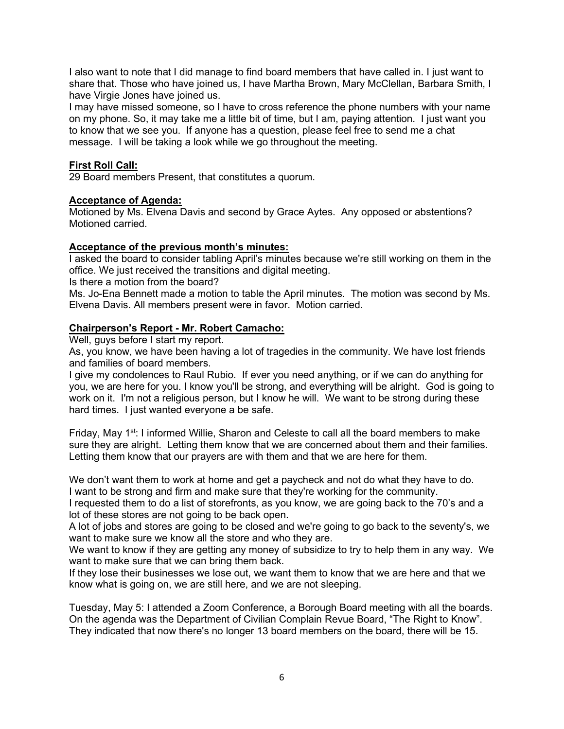I also want to note that I did manage to find board members that have called in. I just want to share that. Those who have joined us, I have Martha Brown, Mary McClellan, Barbara Smith, I have Virgie Jones have joined us.

I may have missed someone, so I have to cross reference the phone numbers with your name on my phone. So, it may take me a little bit of time, but I am, paying attention. I just want you to know that we see you. If anyone has a question, please feel free to send me a chat message. I will be taking a look while we go throughout the meeting.

# **First Roll Call:**

29 Board members Present, that constitutes a quorum.

#### **Acceptance of Agenda:**

Motioned by Ms. Elvena Davis and second by Grace Aytes. Any opposed or abstentions? Motioned carried.

## **Acceptance of the previous month's minutes:**

I asked the board to consider tabling April's minutes because we're still working on them in the office. We just received the transitions and digital meeting.

Is there a motion from the board?

Ms. Jo-Ena Bennett made a motion to table the April minutes. The motion was second by Ms. Elvena Davis. All members present were in favor. Motion carried.

## **Chairperson's Report - Mr. Robert Camacho:**

Well, guys before I start my report.

As, you know, we have been having a lot of tragedies in the community. We have lost friends and families of board members.

I give my condolences to Raul Rubio. If ever you need anything, or if we can do anything for you, we are here for you. I know you'll be strong, and everything will be alright. God is going to work on it. I'm not a religious person, but I know he will. We want to be strong during these hard times. I just wanted everyone a be safe.

Friday, May 1<sup>st</sup>: I informed Willie, Sharon and Celeste to call all the board members to make sure they are alright. Letting them know that we are concerned about them and their families. Letting them know that our prayers are with them and that we are here for them.

We don't want them to work at home and get a paycheck and not do what they have to do. I want to be strong and firm and make sure that they're working for the community.

I requested them to do a list of storefronts, as you know, we are going back to the 70's and a lot of these stores are not going to be back open.

A lot of jobs and stores are going to be closed and we're going to go back to the seventy's, we want to make sure we know all the store and who they are.

We want to know if they are getting any money of subsidize to try to help them in any way. We want to make sure that we can bring them back.

If they lose their businesses we lose out, we want them to know that we are here and that we know what is going on, we are still here, and we are not sleeping.

Tuesday, May 5: I attended a Zoom Conference, a Borough Board meeting with all the boards. On the agenda was the Department of Civilian Complain Revue Board, "The Right to Know". They indicated that now there's no longer 13 board members on the board, there will be 15.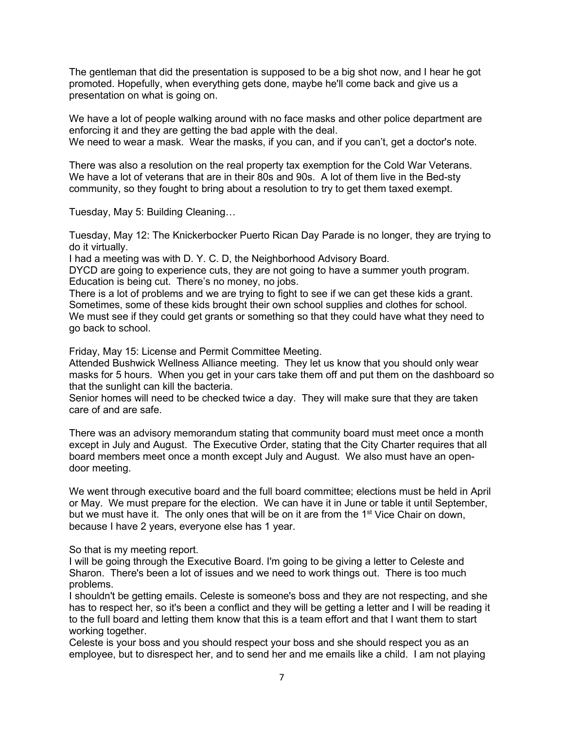The gentleman that did the presentation is supposed to be a big shot now, and I hear he got promoted. Hopefully, when everything gets done, maybe he'll come back and give us a presentation on what is going on.

We have a lot of people walking around with no face masks and other police department are enforcing it and they are getting the bad apple with the deal. We need to wear a mask. Wear the masks, if you can, and if you can't, get a doctor's note.

There was also a resolution on the real property tax exemption for the Cold War Veterans. We have a lot of veterans that are in their 80s and 90s. A lot of them live in the Bed-sty community, so they fought to bring about a resolution to try to get them taxed exempt.

Tuesday, May 5: Building Cleaning…

Tuesday, May 12: The Knickerbocker Puerto Rican Day Parade is no longer, they are trying to do it virtually.

I had a meeting was with D. Y. C. D, the Neighborhood Advisory Board.

DYCD are going to experience cuts, they are not going to have a summer youth program. Education is being cut. There's no money, no jobs.

There is a lot of problems and we are trying to fight to see if we can get these kids a grant. Sometimes, some of these kids brought their own school supplies and clothes for school. We must see if they could get grants or something so that they could have what they need to go back to school.

Friday, May 15: License and Permit Committee Meeting.

Attended Bushwick Wellness Alliance meeting. They let us know that you should only wear masks for 5 hours. When you get in your cars take them off and put them on the dashboard so that the sunlight can kill the bacteria.

Senior homes will need to be checked twice a day. They will make sure that they are taken care of and are safe.

There was an advisory memorandum stating that community board must meet once a month except in July and August. The Executive Order, stating that the City Charter requires that all board members meet once a month except July and August. We also must have an opendoor meeting.

We went through executive board and the full board committee; elections must be held in April or May. We must prepare for the election. We can have it in June or table it until September, but we must have it. The only ones that will be on it are from the 1<sup>st</sup> Vice Chair on down, because I have 2 years, everyone else has 1 year.

So that is my meeting report.

I will be going through the Executive Board. I'm going to be giving a letter to Celeste and Sharon. There's been a lot of issues and we need to work things out. There is too much problems.

I shouldn't be getting emails. Celeste is someone's boss and they are not respecting, and she has to respect her, so it's been a conflict and they will be getting a letter and I will be reading it to the full board and letting them know that this is a team effort and that I want them to start working together.

Celeste is your boss and you should respect your boss and she should respect you as an employee, but to disrespect her, and to send her and me emails like a child. I am not playing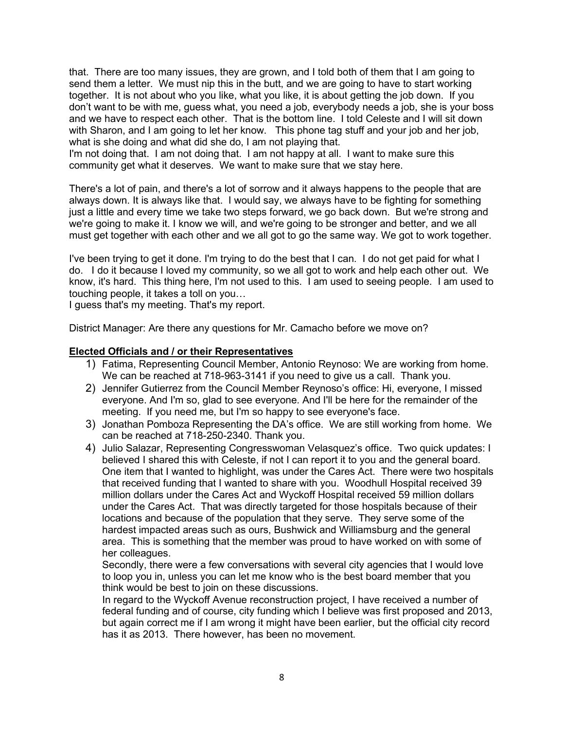that. There are too many issues, they are grown, and I told both of them that I am going to send them a letter. We must nip this in the butt, and we are going to have to start working together. It is not about who you like, what you like, it is about getting the job down. If you don't want to be with me, guess what, you need a job, everybody needs a job, she is your boss and we have to respect each other. That is the bottom line. I told Celeste and I will sit down with Sharon, and I am going to let her know. This phone tag stuff and your job and her job, what is she doing and what did she do, I am not playing that.

I'm not doing that. I am not doing that. I am not happy at all. I want to make sure this community get what it deserves. We want to make sure that we stay here.

There's a lot of pain, and there's a lot of sorrow and it always happens to the people that are always down. It is always like that. I would say, we always have to be fighting for something just a little and every time we take two steps forward, we go back down. But we're strong and we're going to make it. I know we will, and we're going to be stronger and better, and we all must get together with each other and we all got to go the same way. We got to work together.

I've been trying to get it done. I'm trying to do the best that I can. I do not get paid for what I do. I do it because I loved my community, so we all got to work and help each other out. We know, it's hard. This thing here, I'm not used to this. I am used to seeing people. I am used to touching people, it takes a toll on you…

I guess that's my meeting. That's my report.

District Manager: Are there any questions for Mr. Camacho before we move on?

#### **Elected Officials and / or their Representatives**

- 1) Fatima, Representing Council Member, Antonio Reynoso: We are working from home. We can be reached at 718-963-3141 if you need to give us a call. Thank you.
- 2) Jennifer Gutierrez from the Council Member Reynoso's office: Hi, everyone, I missed everyone. And I'm so, glad to see everyone. And I'll be here for the remainder of the meeting. If you need me, but I'm so happy to see everyone's face.
- 3) Jonathan Pomboza Representing the DA's office. We are still working from home. We can be reached at 718-250-2340. Thank you.
- 4) Julio Salazar, Representing Congresswoman Velasquez's office. Two quick updates: I believed I shared this with Celeste, if not I can report it to you and the general board. One item that I wanted to highlight, was under the Cares Act. There were two hospitals that received funding that I wanted to share with you. Woodhull Hospital received 39 million dollars under the Cares Act and Wyckoff Hospital received 59 million dollars under the Cares Act. That was directly targeted for those hospitals because of their locations and because of the population that they serve. They serve some of the hardest impacted areas such as ours, Bushwick and Williamsburg and the general area. This is something that the member was proud to have worked on with some of her colleagues.

Secondly, there were a few conversations with several city agencies that I would love to loop you in, unless you can let me know who is the best board member that you think would be best to join on these discussions.

In regard to the Wyckoff Avenue reconstruction project, I have received a number of federal funding and of course, city funding which I believe was first proposed and 2013, but again correct me if I am wrong it might have been earlier, but the official city record has it as 2013. There however, has been no movement.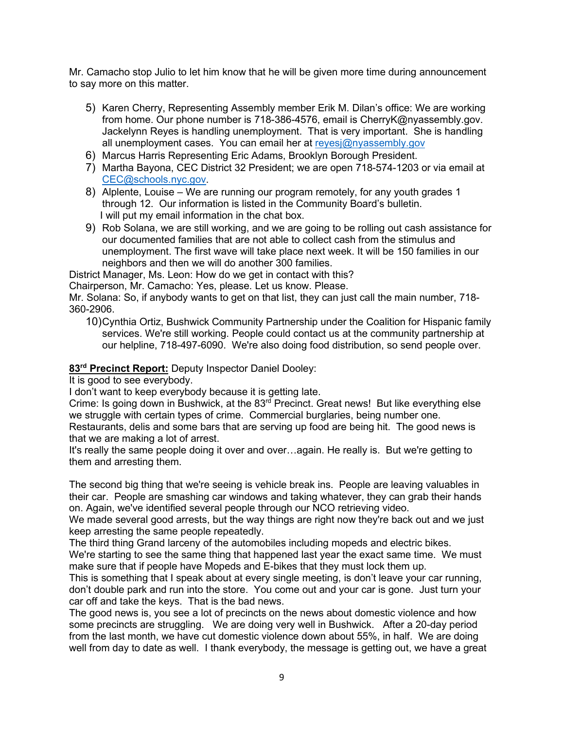Mr. Camacho stop Julio to let him know that he will be given more time during announcement to say more on this matter.

- 5) Karen Cherry, Representing Assembly member Erik M. Dilan's office: We are working from home. Our phone number is 718-386-4576, email is CherryK@nyassembly.gov. Jackelynn Reyes is handling unemployment. That is very important. She is handling all unemployment cases. You can email her at reyesi@nyassembly.gov
- 6) Marcus Harris Representing Eric Adams, Brooklyn Borough President.
- 7) Martha Bayona, CEC District 32 President; we are open 718-574-1203 or via email at [CEC@schools.nyc.gov.](mailto:CEC@schools.nyc.gov)
- 8) Alplente, Louise We are running our program remotely, for any youth grades 1 through 12. Our information is listed in the Community Board's bulletin. I will put my email information in the chat box.
- 9) Rob Solana, we are still working, and we are going to be rolling out cash assistance for our documented families that are not able to collect cash from the stimulus and unemployment. The first wave will take place next week. It will be 150 families in our neighbors and then we will do another 300 families.

District Manager, Ms. Leon: How do we get in contact with this?

Chairperson, Mr. Camacho: Yes, please. Let us know. Please.

Mr. Solana: So, if anybody wants to get on that list, they can just call the main number, 718- 360-2906.

10)Cynthia Ortiz, Bushwick Community Partnership under the Coalition for Hispanic family services. We're still working. People could contact us at the community partnership at our helpline, 718-497-6090. We're also doing food distribution, so send people over.

# **83rd Precinct Report:** Deputy Inspector Daniel Dooley:

It is good to see everybody.

I don't want to keep everybody because it is getting late.

Crime: Is going down in Bushwick, at the 83<sup>rd</sup> Precinct. Great news! But like everything else we struggle with certain types of crime. Commercial burglaries, being number one.

Restaurants, delis and some bars that are serving up food are being hit. The good news is that we are making a lot of arrest.

It's really the same people doing it over and over…again. He really is. But we're getting to them and arresting them.

The second big thing that we're seeing is vehicle break ins. People are leaving valuables in their car. People are smashing car windows and taking whatever, they can grab their hands on. Again, we've identified several people through our NCO retrieving video.

We made several good arrests, but the way things are right now they're back out and we just keep arresting the same people repeatedly.

The third thing Grand larceny of the automobiles including mopeds and electric bikes.

We're starting to see the same thing that happened last year the exact same time. We must make sure that if people have Mopeds and E-bikes that they must lock them up.

This is something that I speak about at every single meeting, is don't leave your car running, don't double park and run into the store. You come out and your car is gone. Just turn your car off and take the keys. That is the bad news.

The good news is, you see a lot of precincts on the news about domestic violence and how some precincts are struggling. We are doing very well in Bushwick. After a 20-day period from the last month, we have cut domestic violence down about 55%, in half. We are doing well from day to date as well. I thank everybody, the message is getting out, we have a great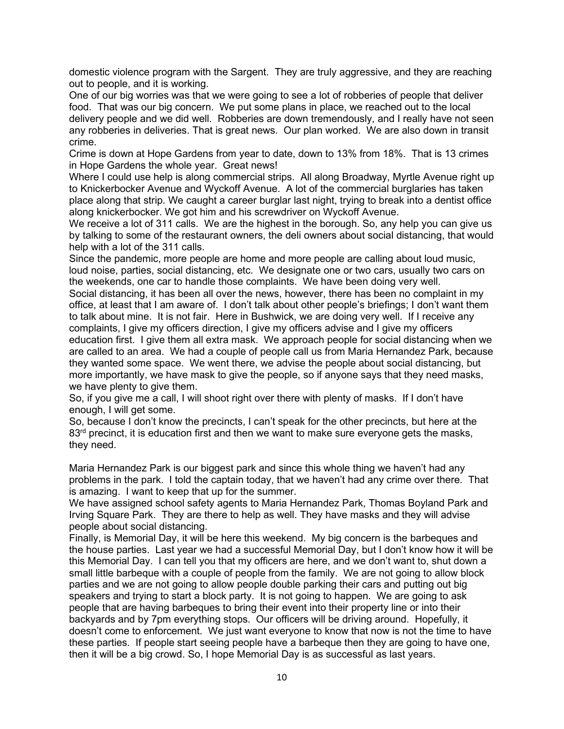domestic violence program with the Sargent. They are truly aggressive, and they are reaching out to people, and it is working.

One of our big worries was that we were going to see a lot of robberies of people that deliver food. That was our big concern. We put some plans in place, we reached out to the local delivery people and we did well. Robberies are down tremendously, and I really have not seen any robberies in deliveries. That is great news. Our plan worked. We are also down in transit crime.

Crime is down at Hope Gardens from year to date, down to 13% from 18%. That is 13 crimes in Hope Gardens the whole year. Great news!

Where I could use help is along commercial strips. All along Broadway, Myrtle Avenue right up to Knickerbocker Avenue and Wyckoff Avenue. A lot of the commercial burglaries has taken place along that strip. We caught a career burglar last night, trying to break into a dentist office along knickerbocker. We got him and his screwdriver on Wyckoff Avenue.

We receive a lot of 311 calls. We are the highest in the borough. So, any help you can give us by talking to some of the restaurant owners, the deli owners about social distancing, that would help with a lot of the 311 calls.

Since the pandemic, more people are home and more people are calling about loud music, loud noise, parties, social distancing, etc. We designate one or two cars, usually two cars on the weekends, one car to handle those complaints. We have been doing very well.

Social distancing, it has been all over the news, however, there has been no complaint in my office, at least that I am aware of. I don't talk about other people's briefings; I don't want them to talk about mine. It is not fair. Here in Bushwick, we are doing very well. If I receive any complaints, I give my officers direction, I give my officers advise and I give my officers education first. I give them all extra mask. We approach people for social distancing when we are called to an area. We had a couple of people call us from Maria Hernandez Park, because they wanted some space. We went there, we advise the people about social distancing, but more importantly, we have mask to give the people, so if anyone says that they need masks, we have plenty to give them.

So, if you give me a call, I will shoot right over there with plenty of masks. If I don't have enough, I will get some.

So, because I don't know the precincts, I can't speak for the other precincts, but here at the  $83<sup>rd</sup>$  precinct, it is education first and then we want to make sure everyone gets the masks, they need.

Maria Hernandez Park is our biggest park and since this whole thing we haven't had any problems in the park. I told the captain today, that we haven't had any crime over there. That is amazing. I want to keep that up for the summer.

We have assigned school safety agents to Maria Hernandez Park, Thomas Boyland Park and Irving Square Park. They are there to help as well. They have masks and they will advise people about social distancing.

Finally, is Memorial Day, it will be here this weekend. My big concern is the barbeques and the house parties. Last year we had a successful Memorial Day, but I don't know how it will be this Memorial Day. I can tell you that my officers are here, and we don't want to, shut down a small little barbeque with a couple of people from the family. We are not going to allow block parties and we are not going to allow people double parking their cars and putting out big speakers and trying to start a block party. It is not going to happen. We are going to ask people that are having barbeques to bring their event into their property line or into their backyards and by 7pm everything stops. Our officers will be driving around. Hopefully, it doesn't come to enforcement. We just want everyone to know that now is not the time to have these parties. If people start seeing people have a barbeque then they are going to have one, then it will be a big crowd. So, I hope Memorial Day is as successful as last years.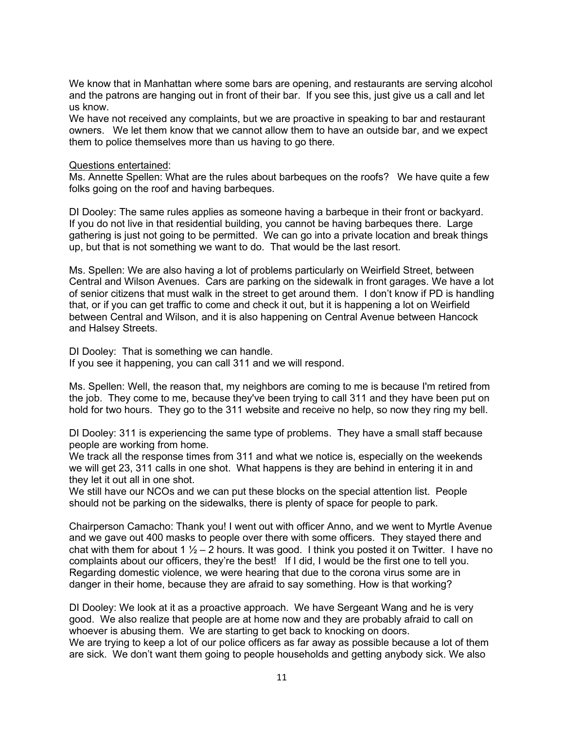We know that in Manhattan where some bars are opening, and restaurants are serving alcohol and the patrons are hanging out in front of their bar. If you see this, just give us a call and let us know.

We have not received any complaints, but we are proactive in speaking to bar and restaurant owners. We let them know that we cannot allow them to have an outside bar, and we expect them to police themselves more than us having to go there.

#### Questions entertained:

Ms. Annette Spellen: What are the rules about barbeques on the roofs? We have quite a few folks going on the roof and having barbeques.

DI Dooley: The same rules applies as someone having a barbeque in their front or backyard. If you do not live in that residential building, you cannot be having barbeques there. Large gathering is just not going to be permitted. We can go into a private location and break things up, but that is not something we want to do. That would be the last resort.

Ms. Spellen: We are also having a lot of problems particularly on Weirfield Street, between Central and Wilson Avenues. Cars are parking on the sidewalk in front garages. We have a lot of senior citizens that must walk in the street to get around them. I don't know if PD is handling that, or if you can get traffic to come and check it out, but it is happening a lot on Weirfield between Central and Wilson, and it is also happening on Central Avenue between Hancock and Halsey Streets.

DI Dooley: That is something we can handle. If you see it happening, you can call 311 and we will respond.

Ms. Spellen: Well, the reason that, my neighbors are coming to me is because I'm retired from the job. They come to me, because they've been trying to call 311 and they have been put on hold for two hours. They go to the 311 website and receive no help, so now they ring my bell.

DI Dooley: 311 is experiencing the same type of problems. They have a small staff because people are working from home.

We track all the response times from 311 and what we notice is, especially on the weekends we will get 23, 311 calls in one shot. What happens is they are behind in entering it in and they let it out all in one shot.

We still have our NCOs and we can put these blocks on the special attention list. People should not be parking on the sidewalks, there is plenty of space for people to park.

Chairperson Camacho: Thank you! I went out with officer Anno, and we went to Myrtle Avenue and we gave out 400 masks to people over there with some officers. They stayed there and chat with them for about 1  $\frac{1}{2}$  – 2 hours. It was good. I think you posted it on Twitter. I have no complaints about our officers, they're the best! If I did, I would be the first one to tell you. Regarding domestic violence, we were hearing that due to the corona virus some are in danger in their home, because they are afraid to say something. How is that working?

DI Dooley: We look at it as a proactive approach. We have Sergeant Wang and he is very good. We also realize that people are at home now and they are probably afraid to call on whoever is abusing them. We are starting to get back to knocking on doors.

We are trying to keep a lot of our police officers as far away as possible because a lot of them are sick. We don't want them going to people households and getting anybody sick. We also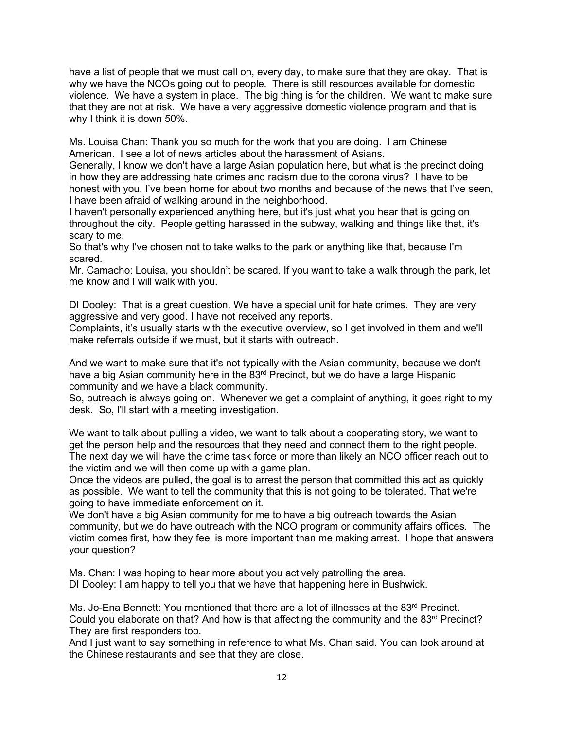have a list of people that we must call on, every day, to make sure that they are okay. That is why we have the NCOs going out to people. There is still resources available for domestic violence. We have a system in place. The big thing is for the children. We want to make sure that they are not at risk. We have a very aggressive domestic violence program and that is why I think it is down 50%.

Ms. Louisa Chan: Thank you so much for the work that you are doing. I am Chinese American. I see a lot of news articles about the harassment of Asians.

Generally, I know we don't have a large Asian population here, but what is the precinct doing in how they are addressing hate crimes and racism due to the corona virus? I have to be honest with you, I've been home for about two months and because of the news that I've seen, I have been afraid of walking around in the neighborhood.

I haven't personally experienced anything here, but it's just what you hear that is going on throughout the city. People getting harassed in the subway, walking and things like that, it's scary to me.

So that's why I've chosen not to take walks to the park or anything like that, because I'm scared.

Mr. Camacho: Louisa, you shouldn't be scared. If you want to take a walk through the park, let me know and I will walk with you.

DI Dooley: That is a great question. We have a special unit for hate crimes. They are very aggressive and very good. I have not received any reports.

Complaints, it's usually starts with the executive overview, so I get involved in them and we'll make referrals outside if we must, but it starts with outreach.

And we want to make sure that it's not typically with the Asian community, because we don't have a big Asian community here in the 83<sup>rd</sup> Precinct, but we do have a large Hispanic community and we have a black community.

So, outreach is always going on. Whenever we get a complaint of anything, it goes right to my desk. So, I'll start with a meeting investigation.

We want to talk about pulling a video, we want to talk about a cooperating story, we want to get the person help and the resources that they need and connect them to the right people. The next day we will have the crime task force or more than likely an NCO officer reach out to the victim and we will then come up with a game plan.

Once the videos are pulled, the goal is to arrest the person that committed this act as quickly as possible. We want to tell the community that this is not going to be tolerated. That we're going to have immediate enforcement on it.

We don't have a big Asian community for me to have a big outreach towards the Asian community, but we do have outreach with the NCO program or community affairs offices. The victim comes first, how they feel is more important than me making arrest. I hope that answers your question?

Ms. Chan: I was hoping to hear more about you actively patrolling the area. DI Dooley: I am happy to tell you that we have that happening here in Bushwick.

Ms. Jo-Ena Bennett: You mentioned that there are a lot of illnesses at the 83<sup>rd</sup> Precinct. Could you elaborate on that? And how is that affecting the community and the  $83<sup>rd</sup>$  Precinct? They are first responders too.

And I just want to say something in reference to what Ms. Chan said. You can look around at the Chinese restaurants and see that they are close.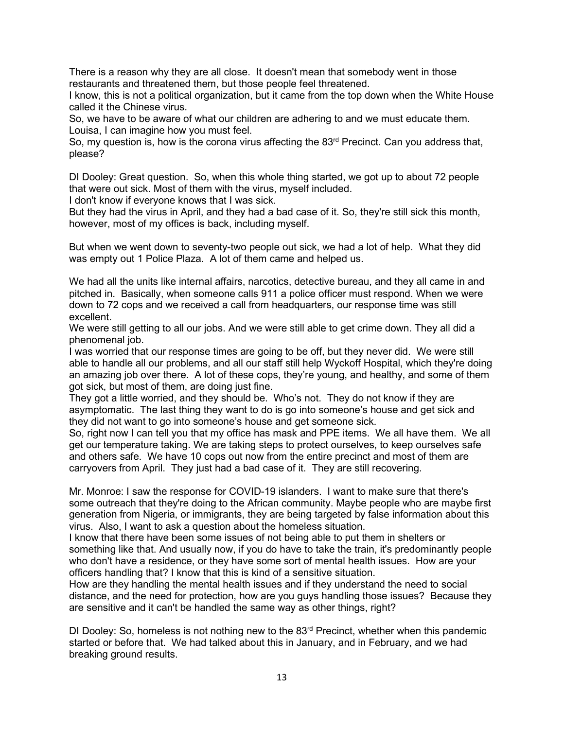There is a reason why they are all close. It doesn't mean that somebody went in those restaurants and threatened them, but those people feel threatened.

I know, this is not a political organization, but it came from the top down when the White House called it the Chinese virus.

So, we have to be aware of what our children are adhering to and we must educate them. Louisa, I can imagine how you must feel.

So, my question is, how is the corona virus affecting the 83<sup>rd</sup> Precinct. Can you address that, please?

DI Dooley: Great question. So, when this whole thing started, we got up to about 72 people that were out sick. Most of them with the virus, myself included.

I don't know if everyone knows that I was sick.

But they had the virus in April, and they had a bad case of it. So, they're still sick this month, however, most of my offices is back, including myself.

But when we went down to seventy-two people out sick, we had a lot of help. What they did was empty out 1 Police Plaza. A lot of them came and helped us.

We had all the units like internal affairs, narcotics, detective bureau, and they all came in and pitched in. Basically, when someone calls 911 a police officer must respond. When we were down to 72 cops and we received a call from headquarters, our response time was still excellent.

We were still getting to all our jobs. And we were still able to get crime down. They all did a phenomenal job.

I was worried that our response times are going to be off, but they never did. We were still able to handle all our problems, and all our staff still help Wyckoff Hospital, which they're doing an amazing job over there. A lot of these cops, they're young, and healthy, and some of them got sick, but most of them, are doing just fine.

They got a little worried, and they should be. Who's not. They do not know if they are asymptomatic. The last thing they want to do is go into someone's house and get sick and they did not want to go into someone's house and get someone sick.

So, right now I can tell you that my office has mask and PPE items. We all have them. We all get our temperature taking. We are taking steps to protect ourselves, to keep ourselves safe and others safe. We have 10 cops out now from the entire precinct and most of them are carryovers from April. They just had a bad case of it. They are still recovering.

Mr. Monroe: I saw the response for COVID-19 islanders. I want to make sure that there's some outreach that they're doing to the African community. Maybe people who are maybe first generation from Nigeria, or immigrants, they are being targeted by false information about this virus. Also, I want to ask a question about the homeless situation.

I know that there have been some issues of not being able to put them in shelters or something like that. And usually now, if you do have to take the train, it's predominantly people who don't have a residence, or they have some sort of mental health issues. How are your officers handling that? I know that this is kind of a sensitive situation.

How are they handling the mental health issues and if they understand the need to social distance, and the need for protection, how are you guys handling those issues? Because they are sensitive and it can't be handled the same way as other things, right?

DI Dooley: So, homeless is not nothing new to the  $83<sup>rd</sup>$  Precinct, whether when this pandemic started or before that. We had talked about this in January, and in February, and we had breaking ground results.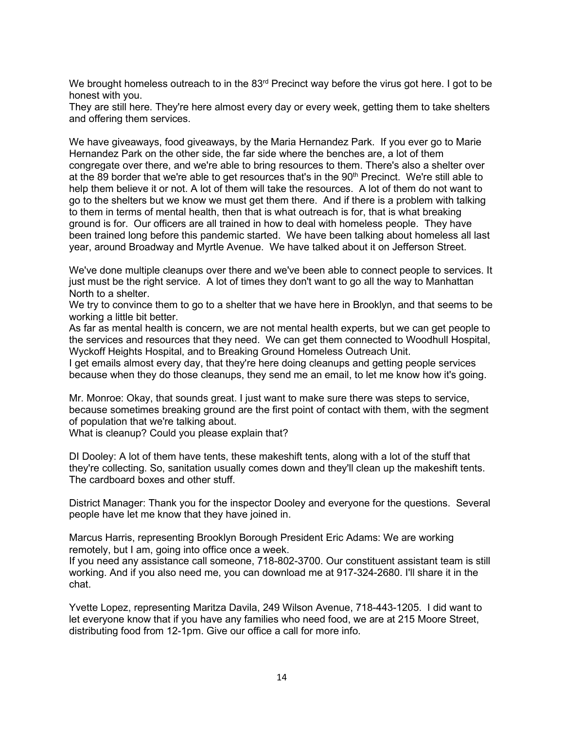We brought homeless outreach to in the  $83<sup>rd</sup>$  Precinct way before the virus got here. I got to be honest with you.

They are still here. They're here almost every day or every week, getting them to take shelters and offering them services.

We have giveaways, food giveaways, by the Maria Hernandez Park. If you ever go to Marie Hernandez Park on the other side, the far side where the benches are, a lot of them congregate over there, and we're able to bring resources to them. There's also a shelter over at the 89 border that we're able to get resources that's in the 90<sup>th</sup> Precinct. We're still able to help them believe it or not. A lot of them will take the resources. A lot of them do not want to go to the shelters but we know we must get them there. And if there is a problem with talking to them in terms of mental health, then that is what outreach is for, that is what breaking ground is for. Our officers are all trained in how to deal with homeless people. They have been trained long before this pandemic started. We have been talking about homeless all last year, around Broadway and Myrtle Avenue. We have talked about it on Jefferson Street.

We've done multiple cleanups over there and we've been able to connect people to services. It just must be the right service. A lot of times they don't want to go all the way to Manhattan North to a shelter.

We try to convince them to go to a shelter that we have here in Brooklyn, and that seems to be working a little bit better.

As far as mental health is concern, we are not mental health experts, but we can get people to the services and resources that they need. We can get them connected to Woodhull Hospital, Wyckoff Heights Hospital, and to Breaking Ground Homeless Outreach Unit.

I get emails almost every day, that they're here doing cleanups and getting people services because when they do those cleanups, they send me an email, to let me know how it's going.

Mr. Monroe: Okay, that sounds great. I just want to make sure there was steps to service, because sometimes breaking ground are the first point of contact with them, with the segment of population that we're talking about.

What is cleanup? Could you please explain that?

DI Dooley: A lot of them have tents, these makeshift tents, along with a lot of the stuff that they're collecting. So, sanitation usually comes down and they'll clean up the makeshift tents. The cardboard boxes and other stuff.

District Manager: Thank you for the inspector Dooley and everyone for the questions. Several people have let me know that they have joined in.

Marcus Harris, representing Brooklyn Borough President Eric Adams: We are working remotely, but I am, going into office once a week.

If you need any assistance call someone, 718-802-3700. Our constituent assistant team is still working. And if you also need me, you can download me at 917-324-2680. I'll share it in the chat.

Yvette Lopez, representing Maritza Davila, 249 Wilson Avenue, 718-443-1205. I did want to let everyone know that if you have any families who need food, we are at 215 Moore Street, distributing food from 12-1pm. Give our office a call for more info.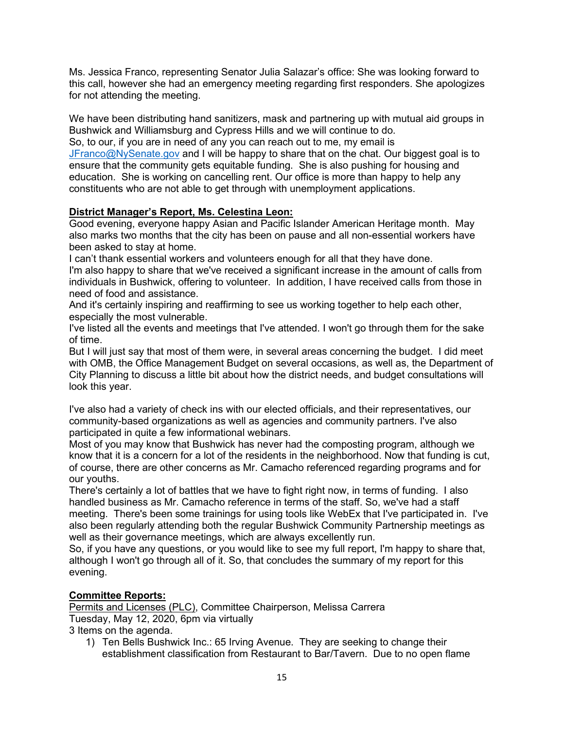Ms. Jessica Franco, representing Senator Julia Salazar's office: She was looking forward to this call, however she had an emergency meeting regarding first responders. She apologizes for not attending the meeting.

We have been distributing hand sanitizers, mask and partnering up with mutual aid groups in Bushwick and Williamsburg and Cypress Hills and we will continue to do.

So, to our, if you are in need of any you can reach out to me, my email is [JFranco@NySenate.gov](mailto:JFranco@NySenate.gov) and I will be happy to share that on the chat. Our biggest goal is to ensure that the community gets equitable funding. She is also pushing for housing and education. She is working on cancelling rent. Our office is more than happy to help any constituents who are not able to get through with unemployment applications.

# **District Manager's Report, Ms. Celestina Leon:**

Good evening, everyone happy Asian and Pacific Islander American Heritage month. May also marks two months that the city has been on pause and all non-essential workers have been asked to stay at home.

I can't thank essential workers and volunteers enough for all that they have done. I'm also happy to share that we've received a significant increase in the amount of calls from individuals in Bushwick, offering to volunteer. In addition, I have received calls from those in need of food and assistance.

And it's certainly inspiring and reaffirming to see us working together to help each other, especially the most vulnerable.

I've listed all the events and meetings that I've attended. I won't go through them for the sake of time.

But I will just say that most of them were, in several areas concerning the budget. I did meet with OMB, the Office Management Budget on several occasions, as well as, the Department of City Planning to discuss a little bit about how the district needs, and budget consultations will look this year.

I've also had a variety of check ins with our elected officials, and their representatives, our community-based organizations as well as agencies and community partners. I've also participated in quite a few informational webinars.

Most of you may know that Bushwick has never had the composting program, although we know that it is a concern for a lot of the residents in the neighborhood. Now that funding is cut, of course, there are other concerns as Mr. Camacho referenced regarding programs and for our youths.

There's certainly a lot of battles that we have to fight right now, in terms of funding. I also handled business as Mr. Camacho reference in terms of the staff. So, we've had a staff meeting. There's been some trainings for using tools like WebEx that I've participated in. I've also been regularly attending both the regular Bushwick Community Partnership meetings as well as their governance meetings, which are always excellently run.

So, if you have any questions, or you would like to see my full report, I'm happy to share that, although I won't go through all of it. So, that concludes the summary of my report for this evening.

# **Committee Reports:**

Permits and Licenses (PLC), Committee Chairperson, Melissa Carrera Tuesday, May 12, 2020, 6pm via virtually

3 Items on the agenda.

1) Ten Bells Bushwick Inc.: 65 Irving Avenue. They are seeking to change their establishment classification from Restaurant to Bar/Tavern. Due to no open flame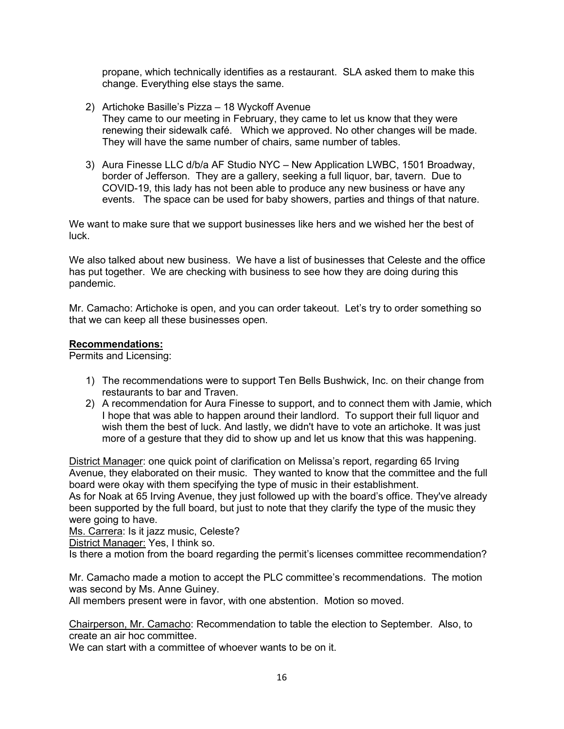propane, which technically identifies as a restaurant. SLA asked them to make this change. Everything else stays the same.

- 2) Artichoke Basille's Pizza 18 Wyckoff Avenue They came to our meeting in February, they came to let us know that they were renewing their sidewalk café. Which we approved. No other changes will be made. They will have the same number of chairs, same number of tables.
- 3) Aura Finesse LLC d/b/a AF Studio NYC New Application LWBC, 1501 Broadway, border of Jefferson. They are a gallery, seeking a full liquor, bar, tavern. Due to COVID-19, this lady has not been able to produce any new business or have any events. The space can be used for baby showers, parties and things of that nature.

We want to make sure that we support businesses like hers and we wished her the best of luck.

We also talked about new business. We have a list of businesses that Celeste and the office has put together. We are checking with business to see how they are doing during this pandemic.

Mr. Camacho: Artichoke is open, and you can order takeout. Let's try to order something so that we can keep all these businesses open.

#### **Recommendations:**

Permits and Licensing:

- 1) The recommendations were to support Ten Bells Bushwick, Inc. on their change from restaurants to bar and Traven.
- 2) A recommendation for Aura Finesse to support, and to connect them with Jamie, which I hope that was able to happen around their landlord. To support their full liquor and wish them the best of luck. And lastly, we didn't have to vote an artichoke. It was just more of a gesture that they did to show up and let us know that this was happening.

District Manager: one quick point of clarification on Melissa's report, regarding 65 Irving Avenue, they elaborated on their music. They wanted to know that the committee and the full board were okay with them specifying the type of music in their establishment. As for Noak at 65 Irving Avenue, they just followed up with the board's office. They've already been supported by the full board, but just to note that they clarify the type of the music they were going to have.

Ms. Carrera: Is it jazz music, Celeste?

District Manager: Yes, I think so.

Is there a motion from the board regarding the permit's licenses committee recommendation?

Mr. Camacho made a motion to accept the PLC committee's recommendations. The motion was second by Ms. Anne Guiney.

All members present were in favor, with one abstention. Motion so moved.

Chairperson, Mr. Camacho: Recommendation to table the election to September. Also, to create an air hoc committee.

We can start with a committee of whoever wants to be on it.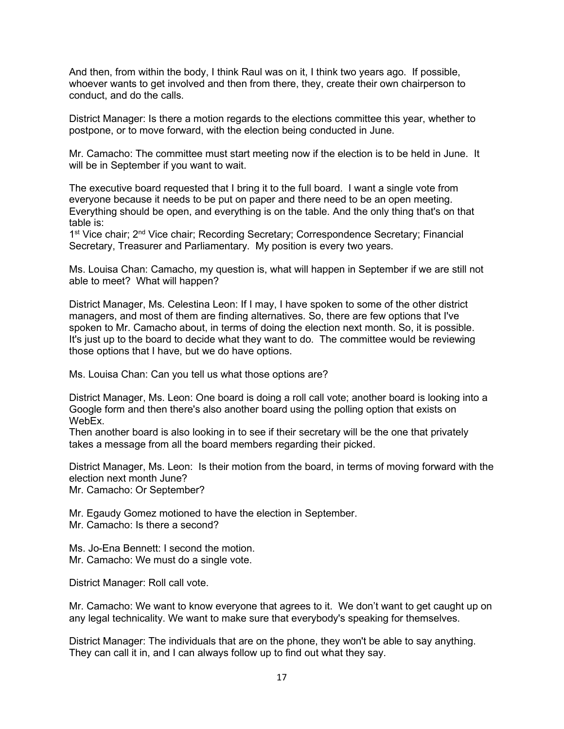And then, from within the body, I think Raul was on it, I think two years ago. If possible, whoever wants to get involved and then from there, they, create their own chairperson to conduct, and do the calls.

District Manager: Is there a motion regards to the elections committee this year, whether to postpone, or to move forward, with the election being conducted in June.

Mr. Camacho: The committee must start meeting now if the election is to be held in June. It will be in September if you want to wait.

The executive board requested that I bring it to the full board. I want a single vote from everyone because it needs to be put on paper and there need to be an open meeting. Everything should be open, and everything is on the table. And the only thing that's on that table is:

1<sup>st</sup> Vice chair; 2<sup>nd</sup> Vice chair; Recording Secretary; Correspondence Secretary; Financial Secretary, Treasurer and Parliamentary. My position is every two years.

Ms. Louisa Chan: Camacho, my question is, what will happen in September if we are still not able to meet? What will happen?

District Manager, Ms. Celestina Leon: If I may, I have spoken to some of the other district managers, and most of them are finding alternatives. So, there are few options that I've spoken to Mr. Camacho about, in terms of doing the election next month. So, it is possible. It's just up to the board to decide what they want to do. The committee would be reviewing those options that I have, but we do have options.

Ms. Louisa Chan: Can you tell us what those options are?

District Manager, Ms. Leon: One board is doing a roll call vote; another board is looking into a Google form and then there's also another board using the polling option that exists on WebEx.

Then another board is also looking in to see if their secretary will be the one that privately takes a message from all the board members regarding their picked.

District Manager, Ms. Leon: Is their motion from the board, in terms of moving forward with the election next month June?

Mr. Camacho: Or September?

Mr. Egaudy Gomez motioned to have the election in September.

Mr. Camacho: Is there a second?

Ms. Jo-Ena Bennett: I second the motion. Mr. Camacho: We must do a single vote.

District Manager: Roll call vote.

Mr. Camacho: We want to know everyone that agrees to it. We don't want to get caught up on any legal technicality. We want to make sure that everybody's speaking for themselves.

District Manager: The individuals that are on the phone, they won't be able to say anything. They can call it in, and I can always follow up to find out what they say.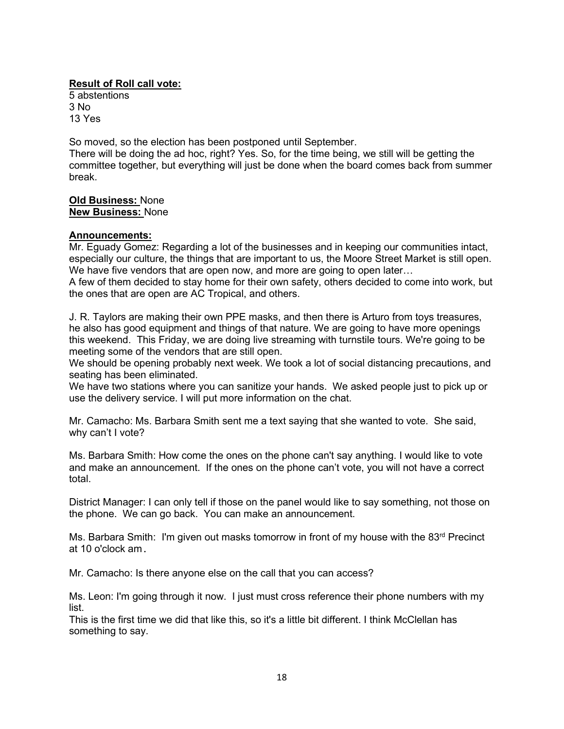# **Result of Roll call vote:**

5 abstentions 3 No 13 Yes

So moved, so the election has been postponed until September.

There will be doing the ad hoc, right? Yes. So, for the time being, we still will be getting the committee together, but everything will just be done when the board comes back from summer break.

**Old Business:** None **New Business:** None

## **Announcements:**

Mr. Eguady Gomez: Regarding a lot of the businesses and in keeping our communities intact, especially our culture, the things that are important to us, the Moore Street Market is still open. We have five vendors that are open now, and more are going to open later...

A few of them decided to stay home for their own safety, others decided to come into work, but the ones that are open are AC Tropical, and others.

J. R. Taylors are making their own PPE masks, and then there is Arturo from toys treasures, he also has good equipment and things of that nature. We are going to have more openings this weekend. This Friday, we are doing live streaming with turnstile tours. We're going to be meeting some of the vendors that are still open.

We should be opening probably next week. We took a lot of social distancing precautions, and seating has been eliminated.

We have two stations where you can sanitize your hands. We asked people just to pick up or use the delivery service. I will put more information on the chat.

Mr. Camacho: Ms. Barbara Smith sent me a text saying that she wanted to vote. She said, why can't I vote?

Ms. Barbara Smith: How come the ones on the phone can't say anything. I would like to vote and make an announcement. If the ones on the phone can't vote, you will not have a correct total.

District Manager: I can only tell if those on the panel would like to say something, not those on the phone. We can go back. You can make an announcement.

Ms. Barbara Smith: I'm given out masks tomorrow in front of my house with the 83<sup>rd</sup> Precinct at 10 o'clock am.

Mr. Camacho: Is there anyone else on the call that you can access?

Ms. Leon: I'm going through it now. I just must cross reference their phone numbers with my list.

This is the first time we did that like this, so it's a little bit different. I think McClellan has something to say.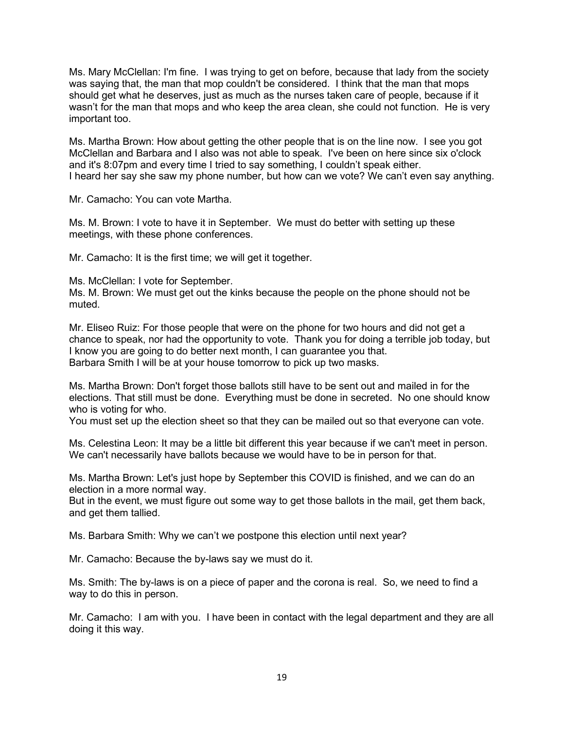Ms. Mary McClellan: I'm fine. I was trying to get on before, because that lady from the society was saying that, the man that mop couldn't be considered. I think that the man that mops should get what he deserves, just as much as the nurses taken care of people, because if it wasn't for the man that mops and who keep the area clean, she could not function. He is very important too.

Ms. Martha Brown: How about getting the other people that is on the line now. I see you got McClellan and Barbara and I also was not able to speak. I've been on here since six o'clock and it's 8:07pm and every time I tried to say something, I couldn't speak either. I heard her say she saw my phone number, but how can we vote? We can't even say anything.

Mr. Camacho: You can vote Martha.

Ms. M. Brown: I vote to have it in September. We must do better with setting up these meetings, with these phone conferences.

Mr. Camacho: It is the first time; we will get it together.

Ms. McClellan: I vote for September.

Ms. M. Brown: We must get out the kinks because the people on the phone should not be muted.

Mr. Eliseo Ruiz: For those people that were on the phone for two hours and did not get a chance to speak, nor had the opportunity to vote. Thank you for doing a terrible job today, but I know you are going to do better next month, I can guarantee you that. Barbara Smith I will be at your house tomorrow to pick up two masks.

Ms. Martha Brown: Don't forget those ballots still have to be sent out and mailed in for the elections. That still must be done. Everything must be done in secreted. No one should know who is voting for who.

You must set up the election sheet so that they can be mailed out so that everyone can vote.

Ms. Celestina Leon: It may be a little bit different this year because if we can't meet in person. We can't necessarily have ballots because we would have to be in person for that.

Ms. Martha Brown: Let's just hope by September this COVID is finished, and we can do an election in a more normal way.

But in the event, we must figure out some way to get those ballots in the mail, get them back, and get them tallied.

Ms. Barbara Smith: Why we can't we postpone this election until next year?

Mr. Camacho: Because the by-laws say we must do it.

Ms. Smith: The by-laws is on a piece of paper and the corona is real. So, we need to find a way to do this in person.

Mr. Camacho: I am with you. I have been in contact with the legal department and they are all doing it this way.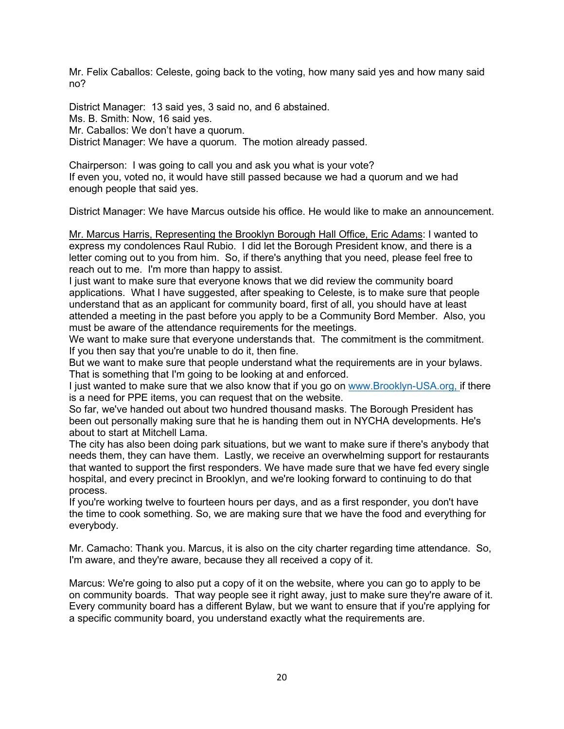Mr. Felix Caballos: Celeste, going back to the voting, how many said yes and how many said no?

District Manager: 13 said yes, 3 said no, and 6 abstained. Ms. B. Smith: Now, 16 said yes. Mr. Caballos: We don't have a quorum. District Manager: We have a quorum. The motion already passed.

Chairperson: I was going to call you and ask you what is your vote? If even you, voted no, it would have still passed because we had a quorum and we had enough people that said yes.

District Manager: We have Marcus outside his office. He would like to make an announcement.

Mr. Marcus Harris, Representing the Brooklyn Borough Hall Office, Eric Adams: I wanted to express my condolences Raul Rubio. I did let the Borough President know, and there is a letter coming out to you from him. So, if there's anything that you need, please feel free to reach out to me. I'm more than happy to assist.

I just want to make sure that everyone knows that we did review the community board applications. What I have suggested, after speaking to Celeste, is to make sure that people understand that as an applicant for community board, first of all, you should have at least attended a meeting in the past before you apply to be a Community Bord Member. Also, you must be aware of the attendance requirements for the meetings.

We want to make sure that everyone understands that. The commitment is the commitment. If you then say that you're unable to do it, then fine.

But we want to make sure that people understand what the requirements are in your bylaws. That is something that I'm going to be looking at and enforced.

I just wanted to make sure that we also know that if you go on www.Brooklyn-USA.org, if there is a need for PPE items, you can request that on the website.

So far, we've handed out about two hundred thousand masks. The Borough President has been out personally making sure that he is handing them out in NYCHA developments. He's about to start at Mitchell Lama.

The city has also been doing park situations, but we want to make sure if there's anybody that needs them, they can have them. Lastly, we receive an overwhelming support for restaurants that wanted to support the first responders. We have made sure that we have fed every single hospital, and every precinct in Brooklyn, and we're looking forward to continuing to do that process.

If you're working twelve to fourteen hours per days, and as a first responder, you don't have the time to cook something. So, we are making sure that we have the food and everything for everybody.

Mr. Camacho: Thank you. Marcus, it is also on the city charter regarding time attendance. So, I'm aware, and they're aware, because they all received a copy of it.

Marcus: We're going to also put a copy of it on the website, where you can go to apply to be on community boards. That way people see it right away, just to make sure they're aware of it. Every community board has a different Bylaw, but we want to ensure that if you're applying for a specific community board, you understand exactly what the requirements are.